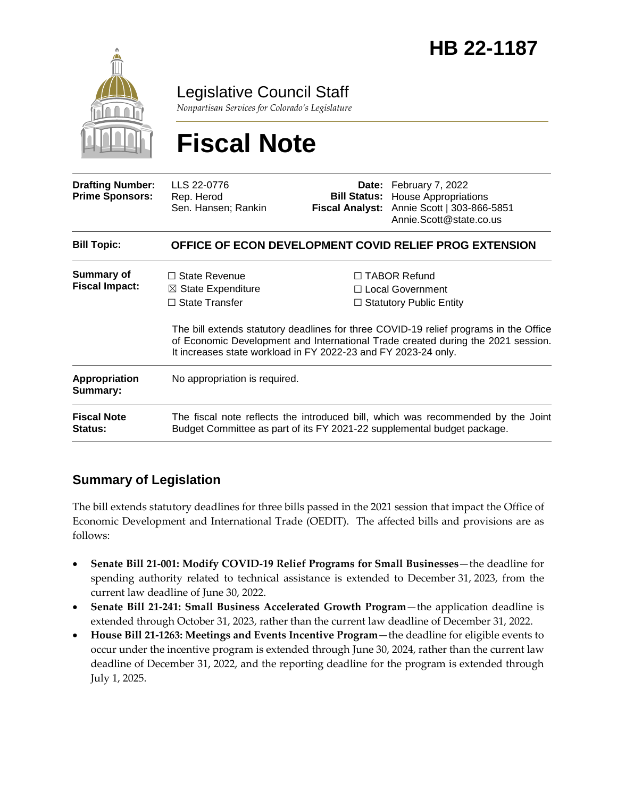

Legislative Council Staff

*Nonpartisan Services for Colorado's Legislature*

# **Fiscal Note**

| <b>Drafting Number:</b><br><b>Prime Sponsors:</b> | LLS 22-0776<br>Rep. Herod<br>Sen. Hansen; Rankin                                                                                                            |  | <b>Date:</b> February 7, 2022<br><b>Bill Status:</b> House Appropriations<br>Fiscal Analyst: Annie Scott   303-866-5851<br>Annie.Scott@state.co.us                                                                                                       |  |
|---------------------------------------------------|-------------------------------------------------------------------------------------------------------------------------------------------------------------|--|----------------------------------------------------------------------------------------------------------------------------------------------------------------------------------------------------------------------------------------------------------|--|
| <b>Bill Topic:</b>                                | OFFICE OF ECON DEVELOPMENT COVID RELIEF PROG EXTENSION                                                                                                      |  |                                                                                                                                                                                                                                                          |  |
| <b>Summary of</b><br><b>Fiscal Impact:</b>        | $\Box$ State Revenue<br>$\boxtimes$ State Expenditure<br>$\Box$ State Transfer                                                                              |  | $\Box$ TABOR Refund<br>□ Local Government<br>$\Box$ Statutory Public Entity<br>The bill extends statutory deadlines for three COVID-19 relief programs in the Office<br>of Economic Development and International Trade created during the 2021 session. |  |
|                                                   | It increases state workload in FY 2022-23 and FY 2023-24 only.                                                                                              |  |                                                                                                                                                                                                                                                          |  |
| Appropriation<br>Summary:                         | No appropriation is required.                                                                                                                               |  |                                                                                                                                                                                                                                                          |  |
| <b>Fiscal Note</b><br><b>Status:</b>              | The fiscal note reflects the introduced bill, which was recommended by the Joint<br>Budget Committee as part of its FY 2021-22 supplemental budget package. |  |                                                                                                                                                                                                                                                          |  |

### **Summary of Legislation**

The bill extends statutory deadlines for three bills passed in the 2021 session that impact the Office of Economic Development and International Trade (OEDIT). The affected bills and provisions are as follows:

- **Senate Bill 21-001: Modify COVID-19 Relief Programs for Small Businesses**—the deadline for spending authority related to technical assistance is extended to December 31, 2023, from the current law deadline of June 30, 2022.
- **Senate Bill 21-241: Small Business Accelerated Growth Program**—the application deadline is extended through October 31, 2023, rather than the current law deadline of December 31, 2022.
- **House Bill 21-1263: Meetings and Events Incentive Program—**the deadline for eligible events to occur under the incentive program is extended through June 30, 2024, rather than the current law deadline of December 31, 2022, and the reporting deadline for the program is extended through July 1, 2025.